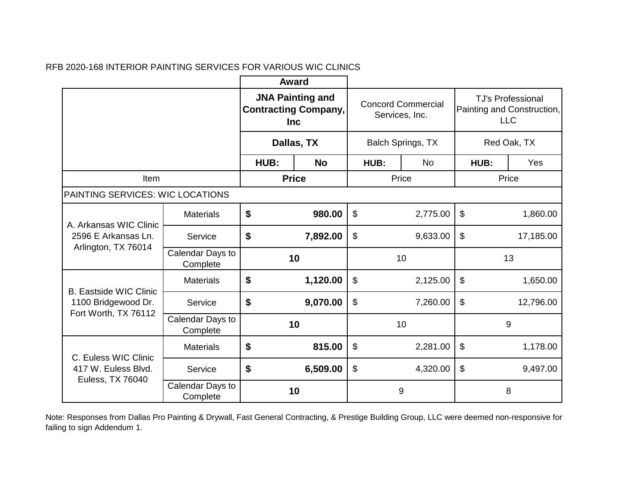$\sim$ 

|                                               |                              | <b>Award</b>                                                         |              |                                             |           |                                                                      |           |
|-----------------------------------------------|------------------------------|----------------------------------------------------------------------|--------------|---------------------------------------------|-----------|----------------------------------------------------------------------|-----------|
|                                               |                              | <b>JNA Painting and</b><br><b>Contracting Company,</b><br><b>Inc</b> |              | <b>Concord Commercial</b><br>Services, Inc. |           | <b>TJ's Professional</b><br>Painting and Construction,<br><b>LLC</b> |           |
|                                               |                              | Dallas, TX                                                           |              | Balch Springs, TX                           |           | Red Oak, TX                                                          |           |
|                                               |                              | HUB:<br><b>No</b>                                                    |              | HUB:                                        | <b>No</b> | HUB:                                                                 | Yes       |
| Item                                          |                              |                                                                      | <b>Price</b> | Price                                       |           |                                                                      | Price     |
| PAINTING SERVICES: WIC LOCATIONS              |                              |                                                                      |              |                                             |           |                                                                      |           |
| A. Arkansas WIC Clinic<br>2596 E Arkansas Ln. | <b>Materials</b>             | \$                                                                   | 980.00       | \$                                          | 2,775.00  | \$                                                                   | 1,860.00  |
|                                               | Service                      | \$                                                                   | 7,892.00     | $\mathbb{S}$                                | 9,633.00  | $\boldsymbol{\mathsf{S}}$                                            | 17,185.00 |
| Arlington, TX 76014                           | Calendar Days to<br>Complete | 10                                                                   |              | 10                                          |           | 13                                                                   |           |
| <b>B. Eastside WIC Clinic</b>                 | <b>Materials</b>             | \$                                                                   | 1,120.00     | $\boldsymbol{\mathsf{S}}$                   | 2,125.00  | \$                                                                   | 1,650.00  |
| 1100 Bridgewood Dr.<br>Fort Worth, TX 76112   | Service                      | \$                                                                   | 9,070.00     | $\boldsymbol{\mathsf{S}}$                   | 7,260.00  | $\boldsymbol{\mathsf{S}}$                                            | 12,796.00 |
|                                               | Calendar Days to<br>Complete |                                                                      | 10           |                                             | 10        |                                                                      | 9         |
| C. Euless WIC Clinic                          | <b>Materials</b>             | \$                                                                   | 815.00       | $\mathfrak{S}$                              | 2,281.00  | $\boldsymbol{\mathsf{S}}$                                            | 1,178.00  |
| 417 W. Euless Blvd.                           | Service                      | \$                                                                   | 6,509.00     | $\boldsymbol{\mathsf{S}}$                   | 4,320.00  | $\boldsymbol{\mathsf{S}}$                                            | 9,497.00  |
| Euless, TX 76040                              | Calendar Days to<br>Complete |                                                                      | 10           |                                             | 9         |                                                                      | 8         |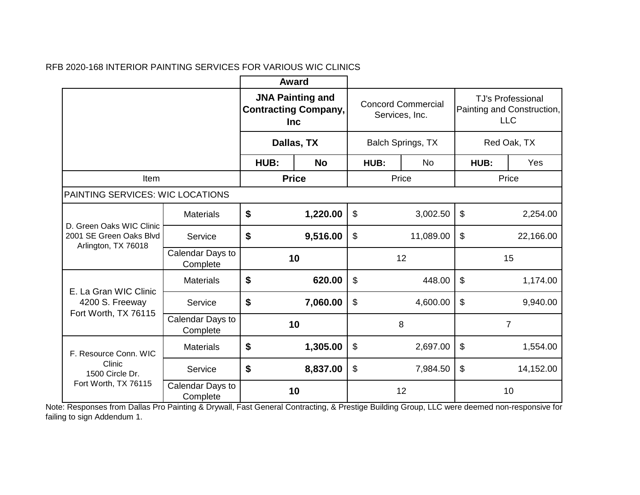|                                                                            |                              | <b>Award</b>                                                         |              |                                             |           |                                                                      |           |
|----------------------------------------------------------------------------|------------------------------|----------------------------------------------------------------------|--------------|---------------------------------------------|-----------|----------------------------------------------------------------------|-----------|
|                                                                            |                              | <b>JNA Painting and</b><br><b>Contracting Company,</b><br><b>Inc</b> |              | <b>Concord Commercial</b><br>Services, Inc. |           | <b>TJ's Professional</b><br>Painting and Construction,<br><b>LLC</b> |           |
|                                                                            |                              | Dallas, TX                                                           |              | Balch Springs, TX                           |           | Red Oak, TX                                                          |           |
|                                                                            |                              | HUB:                                                                 | <b>No</b>    | HUB:                                        | <b>No</b> | HUB:                                                                 | Yes       |
| Item                                                                       |                              |                                                                      | <b>Price</b> | Price                                       |           | Price                                                                |           |
| PAINTING SERVICES: WIC LOCATIONS                                           |                              |                                                                      |              |                                             |           |                                                                      |           |
| D. Green Oaks WIC Clinic<br>2001 SE Green Oaks Blvd<br>Arlington, TX 76018 | <b>Materials</b>             | \$                                                                   | 1,220.00     | \$                                          | 3,002.50  | \$                                                                   | 2,254.00  |
|                                                                            | Service                      | \$<br>9,516.00                                                       |              | \$<br>11,089.00                             |           | $\$\$                                                                | 22,166.00 |
|                                                                            | Calendar Days to<br>Complete | 10                                                                   |              | 12                                          |           | 15                                                                   |           |
| E. La Gran WIC Clinic                                                      | <b>Materials</b>             | \$                                                                   | 620.00       | \$                                          | 448.00    | $\$\$                                                                | 1,174.00  |
| 4200 S. Freeway<br>Fort Worth, TX 76115                                    | Service                      | \$                                                                   | 7,060.00     | $\boldsymbol{\mathsf{S}}$                   | 4,600.00  | $\boldsymbol{\mathsf{S}}$                                            | 9,940.00  |
|                                                                            | Calendar Days to<br>Complete | 10                                                                   |              | 8                                           |           | $\overline{7}$                                                       |           |
| F. Resource Conn. WIC                                                      | <b>Materials</b>             | \$                                                                   | 1,305.00     | $\boldsymbol{\mathsf{S}}$                   | 2,697.00  | $\boldsymbol{\mathsf{S}}$                                            | 1,554.00  |
| Clinic<br>1500 Circle Dr.                                                  | Service                      | \$                                                                   | 8,837.00     | \$                                          | 7,984.50  | $\$\$                                                                | 14,152.00 |
| Fort Worth, TX 76115                                                       | Calendar Days to<br>Complete |                                                                      | 10           |                                             | 12        |                                                                      | 10        |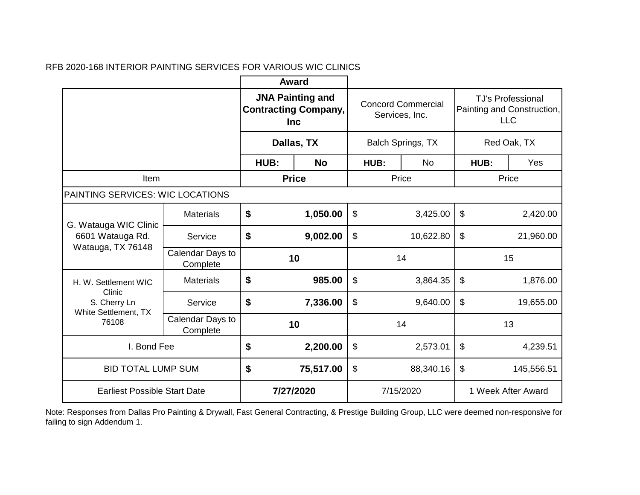|                                      |                              | <b>Award</b>                                                         |              |                                             |           |                                                                      |            |
|--------------------------------------|------------------------------|----------------------------------------------------------------------|--------------|---------------------------------------------|-----------|----------------------------------------------------------------------|------------|
|                                      |                              | <b>JNA Painting and</b><br><b>Contracting Company,</b><br><b>Inc</b> |              | <b>Concord Commercial</b><br>Services, Inc. |           | <b>TJ's Professional</b><br>Painting and Construction,<br><b>LLC</b> |            |
|                                      |                              | Dallas, TX                                                           |              | Balch Springs, TX                           |           | Red Oak, TX                                                          |            |
|                                      |                              | HUB:                                                                 | <b>No</b>    | HUB:                                        | <b>No</b> | HUB:                                                                 | Yes        |
| Item                                 |                              |                                                                      | <b>Price</b> |                                             | Price     |                                                                      | Price      |
| PAINTING SERVICES: WIC LOCATIONS     |                              |                                                                      |              |                                             |           |                                                                      |            |
| G. Watauga WIC Clinic                | <b>Materials</b>             | \$<br>1,050.00                                                       |              | \$<br>3,425.00                              |           | $\boldsymbol{\mathsf{S}}$<br>2,420.00                                |            |
| 6601 Watauga Rd.                     | Service                      | \$<br>9,002.00                                                       |              | \$<br>10,622.80                             |           | $\boldsymbol{\mathsf{S}}$<br>21,960.00                               |            |
| Watauga, TX 76148                    | Calendar Days to<br>Complete | 10                                                                   |              | 14                                          |           | 15                                                                   |            |
| H. W. Settlement WIC<br>Clinic       | <b>Materials</b>             | \$                                                                   | 985.00       | \$                                          | 3,864.35  | $\boldsymbol{\mathsf{S}}$                                            | 1,876.00   |
| S. Cherry Ln<br>White Settlement, TX | Service                      | \$                                                                   | 7,336.00     | \$                                          | 9,640.00  | $\boldsymbol{\mathsf{S}}$                                            | 19,655.00  |
| 76108                                | Calendar Days to<br>Complete |                                                                      | 10           | 14                                          |           | 13                                                                   |            |
| I. Bond Fee                          |                              | \$                                                                   | 2,200.00     | \$                                          | 2,573.01  | $\mathfrak{S}$                                                       | 4,239.51   |
| <b>BID TOTAL LUMP SUM</b>            |                              | \$                                                                   | 75,517.00    | \$                                          | 88,340.16 | $\boldsymbol{\mathsf{S}}$                                            | 145,556.51 |
| <b>Earliest Possible Start Date</b>  |                              |                                                                      | 7/27/2020    | 7/15/2020                                   |           | 1 Week After Award                                                   |            |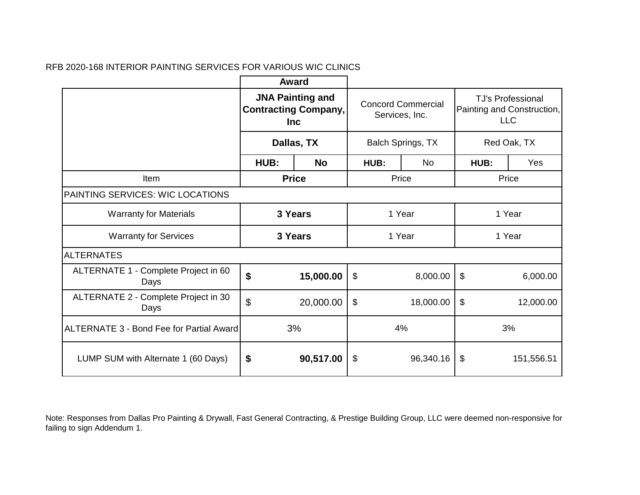|                                                 |                                                                                    | Award        |                                             |           |             |                                                                      |
|-------------------------------------------------|------------------------------------------------------------------------------------|--------------|---------------------------------------------|-----------|-------------|----------------------------------------------------------------------|
|                                                 | <b>JNA Painting and</b><br><b>Contracting Company,</b><br><b>Inc</b><br>Dallas, TX |              | <b>Concord Commercial</b><br>Services, Inc. |           |             | <b>TJ's Professional</b><br>Painting and Construction,<br><b>LLC</b> |
|                                                 |                                                                                    |              | Balch Springs, TX                           |           | Red Oak, TX |                                                                      |
|                                                 | HUB:                                                                               | <b>No</b>    | HUB:                                        | <b>No</b> | HUB:        | Yes                                                                  |
| Item                                            |                                                                                    | <b>Price</b> | Price                                       |           |             | Price                                                                |
| PAINTING SERVICES: WIC LOCATIONS                |                                                                                    |              |                                             |           |             |                                                                      |
| <b>Warranty for Materials</b>                   | 3 Years                                                                            |              | 1 Year                                      |           | 1 Year      |                                                                      |
| <b>Warranty for Services</b>                    | 3 Years                                                                            |              | 1 Year                                      |           | 1 Year      |                                                                      |
| <b>ALTERNATES</b>                               |                                                                                    |              |                                             |           |             |                                                                      |
| ALTERNATE 1 - Complete Project in 60<br>Days    | \$                                                                                 | 15,000.00    | \$                                          | 8,000.00  | $\$\$       | 6,000.00                                                             |
| ALTERNATE 2 - Complete Project in 30<br>Days    | $\boldsymbol{\mathsf{S}}$                                                          | 20,000.00    | \$<br>18,000.00                             |           | \$          | 12,000.00                                                            |
| <b>ALTERNATE 3 - Bond Fee for Partial Award</b> | 3%                                                                                 |              | 4%                                          |           | 3%          |                                                                      |
| LUMP SUM with Alternate 1 (60 Days)             | \$                                                                                 | 90,517.00    | \$<br>96,340.16                             |           | \$          | 151,556.51                                                           |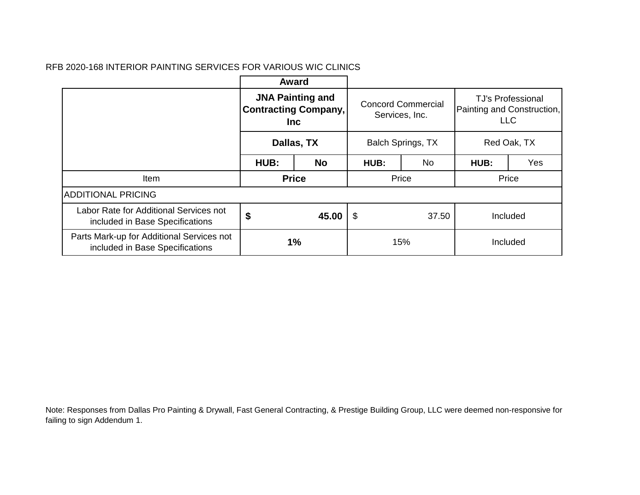|                                                                              |                                                                                    | Award     |                                                                  |           |                                                                      |       |
|------------------------------------------------------------------------------|------------------------------------------------------------------------------------|-----------|------------------------------------------------------------------|-----------|----------------------------------------------------------------------|-------|
|                                                                              | <b>JNA Painting and</b><br><b>Contracting Company,</b><br><b>Inc</b><br>Dallas, TX |           | <b>Concord Commercial</b><br>Services, Inc.<br>Balch Springs, TX |           | <b>TJ's Professional</b><br>Painting and Construction,<br><b>LLC</b> |       |
|                                                                              |                                                                                    |           |                                                                  |           | Red Oak, TX                                                          |       |
|                                                                              | HUB:                                                                               | <b>No</b> | HUB:                                                             | <b>No</b> | HUB:                                                                 | Yes   |
| Item                                                                         | <b>Price</b>                                                                       |           | Price                                                            |           |                                                                      | Price |
| <b>ADDITIONAL PRICING</b>                                                    |                                                                                    |           |                                                                  |           |                                                                      |       |
| Labor Rate for Additional Services not<br>included in Base Specifications    | \$<br>45.00<br>$\boldsymbol{\mathsf{\$}}$                                          |           | 37.50                                                            | Included  |                                                                      |       |
| Parts Mark-up for Additional Services not<br>included in Base Specifications | 1%                                                                                 |           | 15%                                                              |           | Included                                                             |       |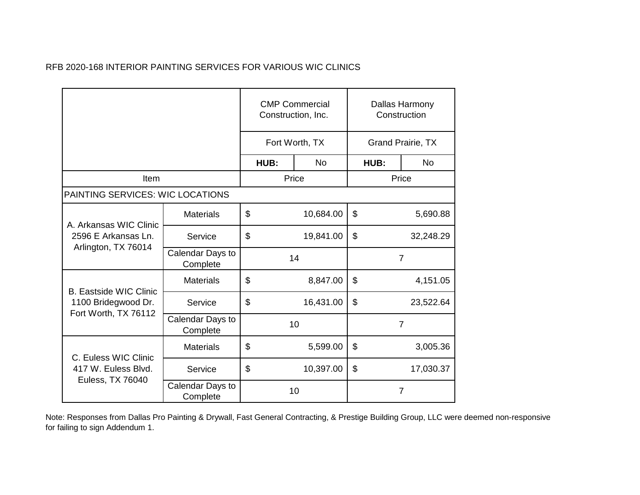|                                                                      |                              | <b>CMP Commercial</b><br>Construction, Inc. |           | Dallas Harmony<br>Construction |                |  |
|----------------------------------------------------------------------|------------------------------|---------------------------------------------|-----------|--------------------------------|----------------|--|
|                                                                      |                              | Fort Worth, TX                              |           | <b>Grand Prairie, TX</b>       |                |  |
|                                                                      |                              | HUB:                                        | <b>No</b> | HUB:                           | <b>No</b>      |  |
| Item                                                                 |                              |                                             | Price     |                                | Price          |  |
| PAINTING SERVICES: WIC LOCATIONS                                     |                              |                                             |           |                                |                |  |
| A. Arkansas WIC Clinic<br>2596 E Arkansas Ln.<br>Arlington, TX 76014 | <b>Materials</b>             | \$<br>10,684.00                             |           | \$<br>5,690.88                 |                |  |
|                                                                      | Service                      | \$<br>19,841.00                             |           | \$<br>32,248.29                |                |  |
|                                                                      | Calendar Days to<br>Complete | 14                                          |           |                                | $\overline{7}$ |  |
| <b>B. Eastside WIC Clinic</b>                                        | <b>Materials</b>             | \$                                          | 8,847.00  | \$                             | 4,151.05       |  |
| 1100 Bridegwood Dr.<br>Fort Worth, TX 76112                          | Service                      | \$<br>16,431.00                             |           | $\mathfrak{S}$                 | 23,522.64      |  |
|                                                                      | Calendar Days to<br>Complete | 10                                          |           | $\overline{7}$                 |                |  |
| C. Euless WIC Clinic                                                 | <b>Materials</b>             | \$                                          | 5,599.00  | \$                             | 3,005.36       |  |
| 417 W. Euless Blvd.                                                  | Service                      | \$                                          | 10,397.00 | \$                             | 17,030.37      |  |
| Euless, TX 76040                                                     | Calendar Days to<br>Complete |                                             | 10        |                                | 7              |  |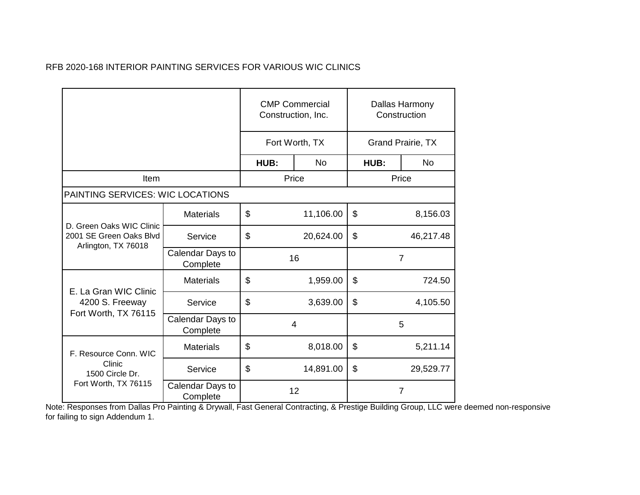|                                                                            |                              | <b>CMP Commercial</b><br>Construction, Inc. |           | Dallas Harmony<br>Construction |           |
|----------------------------------------------------------------------------|------------------------------|---------------------------------------------|-----------|--------------------------------|-----------|
|                                                                            |                              | Fort Worth, TX                              |           | <b>Grand Prairie, TX</b>       |           |
|                                                                            |                              | HUB:                                        | <b>No</b> | HUB:                           | <b>No</b> |
| Item                                                                       |                              |                                             | Price     |                                | Price     |
| PAINTING SERVICES: WIC LOCATIONS                                           |                              |                                             |           |                                |           |
| D. Green Oaks WIC Clinic<br>2001 SE Green Oaks Blvd<br>Arlington, TX 76018 | <b>Materials</b>             | \$<br>11,106.00                             |           | $\mathfrak{S}$                 | 8,156.03  |
|                                                                            | Service                      | \$<br>20,624.00                             |           | \$                             | 46,217.48 |
|                                                                            | Calendar Days to<br>Complete | 16                                          |           | $\overline{7}$                 |           |
| E. La Gran WIC Clinic                                                      | <b>Materials</b>             | \$<br>1,959.00                              |           | \$                             | 724.50    |
| 4200 S. Freeway<br>Fort Worth, TX 76115                                    | Service                      | \$<br>3,639.00                              |           | \$                             | 4,105.50  |
|                                                                            | Calendar Days to<br>Complete | 4                                           |           | 5                              |           |
| F. Resource Conn. WIC                                                      | <b>Materials</b>             | \$                                          | 8,018.00  | \$                             | 5,211.14  |
| Clinic<br>1500 Circle Dr.                                                  | Service                      | \$                                          | 14,891.00 | \$                             | 29,529.77 |
| Fort Worth, TX 76115                                                       | Calendar Days to<br>Complete | 12                                          |           | $\overline{7}$                 |           |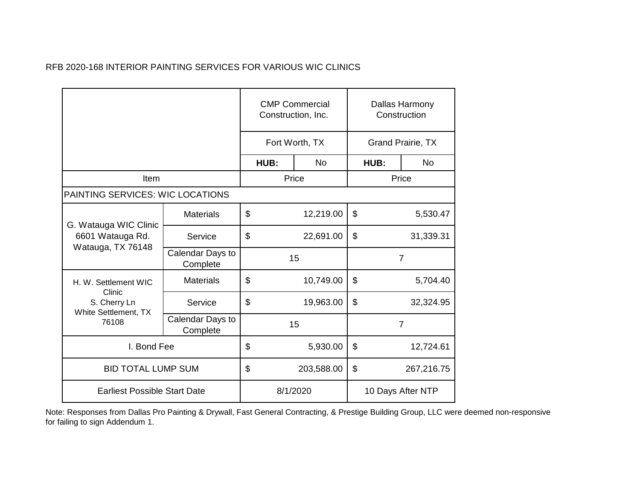|                                       |                              | <b>CMP Commercial</b><br>Construction, Inc. |                | Dallas Harmony<br>Construction |                |  |
|---------------------------------------|------------------------------|---------------------------------------------|----------------|--------------------------------|----------------|--|
|                                       |                              |                                             | Fort Worth, TX | <b>Grand Prairie, TX</b>       |                |  |
|                                       |                              | HUB:                                        | N <sub>o</sub> | HUB:                           | <b>No</b>      |  |
| Item                                  |                              |                                             | Price          |                                | Price          |  |
| PAINTING SERVICES: WIC LOCATIONS      |                              |                                             |                |                                |                |  |
| G. Watauga WIC Clinic                 | <b>Materials</b>             | \$<br>12,219.00                             |                | $\boldsymbol{\mathsf{S}}$      | 5,530.47       |  |
| 6601 Watauga Rd.<br>Watauga, TX 76148 | Service                      | \$<br>22,691.00                             |                | \$<br>31,339.31                |                |  |
|                                       | Calendar Days to<br>Complete | 15                                          |                |                                | $\overline{7}$ |  |
| H. W. Settlement WIC<br>Clinic        | <b>Materials</b>             | \$<br>10,749.00                             |                | \$                             | 5,704.40       |  |
| S. Cherry Ln<br>White Settlement, TX  | Service                      | \$<br>19,963.00                             |                | $\mathfrak{S}$                 | 32,324.95      |  |
| 76108                                 | Calendar Days to<br>Complete | 15                                          |                | $\overline{7}$                 |                |  |
| I. Bond Fee                           |                              | \$<br>5,930.00                              |                | \$<br>12,724.61                |                |  |
| <b>BID TOTAL LUMP SUM</b>             |                              | \$<br>203,588.00                            |                | \$                             | 267,216.75     |  |
| <b>Earliest Possible Start Date</b>   |                              | 8/1/2020                                    |                | 10 Days After NTP              |                |  |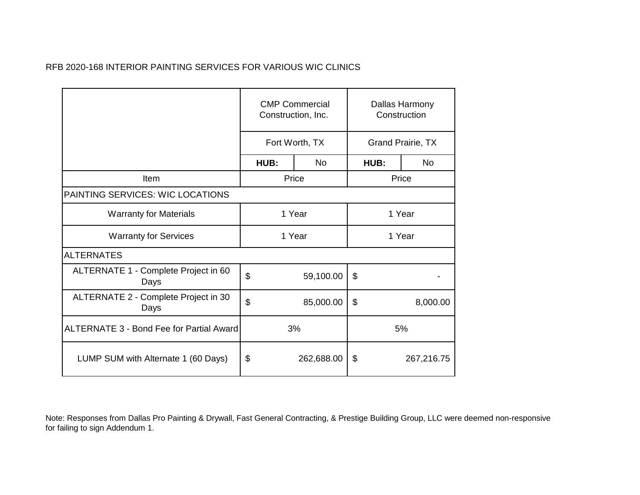|                                                 | <b>CMP Commercial</b><br>Construction, Inc. |           | Dallas Harmony<br>Construction |                   |  |  |
|-------------------------------------------------|---------------------------------------------|-----------|--------------------------------|-------------------|--|--|
|                                                 | Fort Worth, TX                              |           |                                | Grand Prairie, TX |  |  |
|                                                 | HUB:                                        | No.       | HUB:                           | No.               |  |  |
| Item                                            |                                             | Price     |                                | Price             |  |  |
| PAINTING SERVICES: WIC LOCATIONS                |                                             |           |                                |                   |  |  |
| <b>Warranty for Materials</b>                   | 1 Year                                      |           | 1 Year                         |                   |  |  |
| <b>Warranty for Services</b>                    | 1 Year                                      |           | 1 Year                         |                   |  |  |
| <b>ALTERNATES</b>                               |                                             |           |                                |                   |  |  |
| ALTERNATE 1 - Complete Project in 60<br>Days    | \$                                          | 59,100.00 | \$                             |                   |  |  |
| ALTERNATE 2 - Complete Project in 30<br>Days    | \$<br>\$<br>85,000.00                       |           |                                | 8,000.00          |  |  |
| <b>ALTERNATE 3 - Bond Fee for Partial Award</b> | 3%                                          |           | 5%                             |                   |  |  |
| LUMP SUM with Alternate 1 (60 Days)             | \$<br>262,688.00                            |           | \$                             | 267,216.75        |  |  |